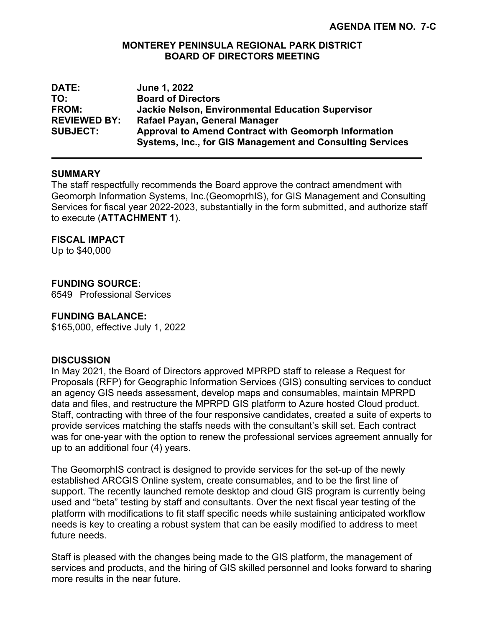## **MONTEREY PENINSULA REGIONAL PARK DISTRICT BOARD OF DIRECTORS MEETING**

| <b>DATE:</b>        | June 1, 2022                                                     |
|---------------------|------------------------------------------------------------------|
| TO:                 | <b>Board of Directors</b>                                        |
| <b>FROM:</b>        | <b>Jackie Nelson, Environmental Education Supervisor</b>         |
| <b>REVIEWED BY:</b> | Rafael Payan, General Manager                                    |
| <b>SUBJECT:</b>     | Approval to Amend Contract with Geomorph Information             |
|                     | <b>Systems, Inc., for GIS Management and Consulting Services</b> |

## **SUMMARY**

The staff respectfully recommends the Board approve the contract amendment with Geomorph Information Systems, Inc.(GeomoprhIS), for GIS Management and Consulting Services for fiscal year 2022-2023, substantially in the form submitted, and authorize staff to execute (**ATTACHMENT 1**).

## **FISCAL IMPACT**

Up to \$40,000

# **FUNDING SOURCE:**

6549 Professional Services

#### **FUNDING BALANCE:**

\$165,000, effective July 1, 2022

#### **DISCUSSION**

In May 2021, the Board of Directors approved MPRPD staff to release a Request for Proposals (RFP) for Geographic Information Services (GIS) consulting services to conduct an agency GIS needs assessment, develop maps and consumables, maintain MPRPD data and files, and restructure the MPRPD GIS platform to Azure hosted Cloud product. Staff, contracting with three of the four responsive candidates, created a suite of experts to provide services matching the staffs needs with the consultant's skill set. Each contract was for one-year with the option to renew the professional services agreement annually for up to an additional four (4) years.

The GeomorphIS contract is designed to provide services for the set-up of the newly established ARCGIS Online system, create consumables, and to be the first line of support. The recently launched remote desktop and cloud GIS program is currently being used and "beta" testing by staff and consultants. Over the next fiscal year testing of the platform with modifications to fit staff specific needs while sustaining anticipated workflow needs is key to creating a robust system that can be easily modified to address to meet future needs.

Staff is pleased with the changes being made to the GIS platform, the management of services and products, and the hiring of GIS skilled personnel and looks forward to sharing more results in the near future.